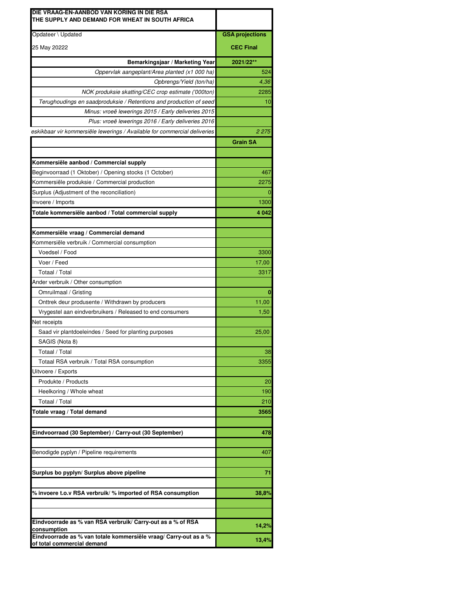| DIE VRAAG-EN-AANBOD VAN KORING IN DIE RSA<br>THE SUPPLY AND DEMAND FOR WHEAT IN SOUTH AFRICA                             |                        |
|--------------------------------------------------------------------------------------------------------------------------|------------------------|
| Opdateer \ Updated                                                                                                       | <b>GSA projections</b> |
| 25 May 20222                                                                                                             | <b>CEC Final</b>       |
|                                                                                                                          |                        |
| Bemarkingsjaar / Marketing Year                                                                                          | 2021/22**              |
| Oppervlak aangeplant/Area planted (x1 000 ha)                                                                            | 524                    |
| Opbrengs/Yield (ton/ha)                                                                                                  | 4,36<br>2285           |
| NOK produksie skatting/CEC crop estimate ('000ton)<br>Terughoudings en saadproduksie / Retentions and production of seed | 10                     |
| Minus: vroeë lewerings 2015 / Early deliveries 2015                                                                      |                        |
|                                                                                                                          |                        |
| Plus: vroeë lewerings 2016 / Early deliveries 2016                                                                       | 2 2 7 5                |
| eskikbaar vir kommersiële lewerings / Available for commercial deliveries                                                | <b>Grain SA</b>        |
|                                                                                                                          |                        |
| Kommersiële aanbod / Commercial supply                                                                                   |                        |
| Beginvoorraad (1 Oktober) / Opening stocks (1 October)                                                                   | 467                    |
| Kommersiële produksie / Commercial production                                                                            | 2275                   |
| Surplus (Adjustment of the reconciliation)                                                                               |                        |
| Invoere / Imports                                                                                                        | 1300                   |
| Totale kommersiële aanbod / Total commercial supply                                                                      | 4 0 4 2                |
|                                                                                                                          |                        |
| Kommersiële vraag / Commercial demand                                                                                    |                        |
| Kommersiële verbruik / Commercial consumption                                                                            |                        |
| Voedsel / Food                                                                                                           | 3300                   |
| Voer / Feed                                                                                                              | 17,00                  |
| Totaal / Total                                                                                                           | 3317                   |
| Ander verbruik / Other consumption                                                                                       |                        |
| Omruilmaal / Gristing                                                                                                    |                        |
| Onttrek deur produsente / Withdrawn by producers                                                                         | 11,00                  |
| Vrygestel aan eindverbruikers / Released to end consumers                                                                | 1,50                   |
| Net receipts                                                                                                             |                        |
| Saad vir plantdoeleindes / Seed for planting purposes                                                                    | 25,00                  |
| SAGIS (Nota 8)                                                                                                           |                        |
| Totaal / Total                                                                                                           | 38                     |
| Totaal RSA verbruik / Total RSA consumption                                                                              | 3355                   |
| Uitvoere / Exports                                                                                                       |                        |
| Produkte / Products                                                                                                      | 20                     |
| Heelkoring / Whole wheat                                                                                                 | 190                    |
| Totaal / Total                                                                                                           | 210                    |
| Totale vraag / Total demand                                                                                              | 3565                   |
|                                                                                                                          |                        |
| Eindvoorraad (30 September) / Carry-out (30 September)                                                                   | 478                    |
|                                                                                                                          |                        |
| Benodigde pyplyn / Pipeline requirements                                                                                 | 407                    |
|                                                                                                                          |                        |
| Surplus bo pyplyn/ Surplus above pipeline                                                                                | 71                     |
|                                                                                                                          |                        |
| $\%$ invoere t.o.v RSA verbruik/ $\%$ imported of RSA consumption                                                        | 38,8%                  |
|                                                                                                                          |                        |
|                                                                                                                          |                        |
| Eindvoorrade as % van RSA verbruik/ Carry-out as a % of RSA<br>consumption                                               | 14,2%                  |
| Eindvoorrade as % van totale kommersiële vraag/ Carry-out as a %                                                         | 13,4%                  |
| of total commercial demand                                                                                               |                        |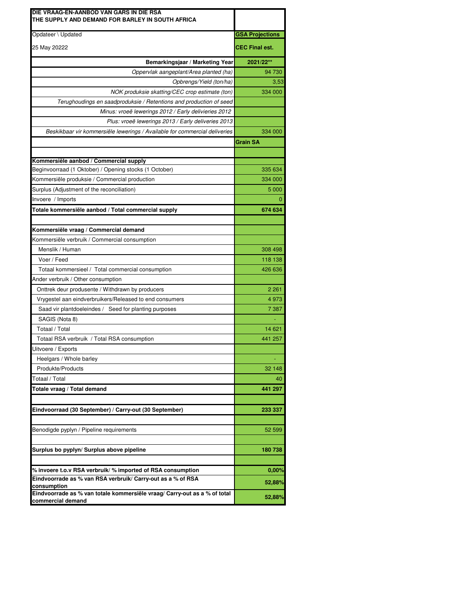| DIE VRAAG-EN-AANBOD VAN GARS IN DIE RSA<br>THE SUPPLY AND DEMAND FOR BARLEY IN SOUTH AFRICA |                        |  |
|---------------------------------------------------------------------------------------------|------------------------|--|
| Opdateer \ Updated                                                                          | <b>GSA Projections</b> |  |
| 25 May 20222                                                                                | <b>CEC Final est.</b>  |  |
|                                                                                             |                        |  |
| Bemarkingsjaar / Marketing Year                                                             | 2021/22**              |  |
| Oppervlak aangeplant/Area planted (ha)                                                      | 94 730                 |  |
| Opbrengs/Yield (ton/ha)                                                                     | 3,53                   |  |
| NOK produksie skatting/CEC crop estimate (ton)                                              | 334 000                |  |
| Terughoudings en saadproduksie / Retentions and production of seed                          |                        |  |
| Minus: vroeë lewerings 2012 / Early delivieries 2012                                        |                        |  |
| Plus: vroeë lewerings 2013 / Early deliveries 2013                                          |                        |  |
| Beskikbaar vir kommersiële lewerings / Available for commercial deliveries                  | 334 000                |  |
|                                                                                             | <b>Grain SA</b>        |  |
|                                                                                             |                        |  |
| Kommersiële aanbod / Commercial supply                                                      |                        |  |
| Beginvoorraad (1 Oktober) / Opening stocks (1 October)                                      | 335 634                |  |
| Kommersiële produksie / Commercial production                                               | 334 000                |  |
| Surplus (Adjustment of the reconciliation)                                                  | 5 0 0 0                |  |
| Invoere / Imports                                                                           |                        |  |
| Totale kommersiële aanbod / Total commercial supply                                         | 674 634                |  |
| Kommersiële vraag / Commercial demand                                                       |                        |  |
| Kommersiële verbruik / Commercial consumption                                               |                        |  |
| Menslik / Human                                                                             | 308 498                |  |
|                                                                                             |                        |  |
| Voer / Feed                                                                                 | 118 138                |  |
| Totaal kommersieel / Total commercial consumption                                           | 426 636                |  |
| Ander verbruik / Other consumption                                                          | 2 2 6 1                |  |
| Onttrek deur produsente / Withdrawn by producers                                            |                        |  |
| Vrygestel aan eindverbruikers/Released to end consumers                                     | 4973<br>7 3 8 7        |  |
| Saad vir plantdoeleindes / Seed for planting purposes                                       |                        |  |
| SAGIS (Nota 8)<br>Totaal / Total                                                            | 14 621                 |  |
|                                                                                             |                        |  |
| Totaal RSA verbruik / Total RSA consumption                                                 | 441 257                |  |
| Uitvoere / Exports                                                                          |                        |  |
| Heelgars / Whole barley                                                                     |                        |  |
| Produkte/Products                                                                           | 32 148                 |  |
| Totaal / Total                                                                              | 40                     |  |
| Totale vraag / Total demand                                                                 | 441 297                |  |
| Eindvoorraad (30 September) / Carry-out (30 September)                                      | 233 337                |  |
|                                                                                             |                        |  |
| Benodigde pyplyn / Pipeline requirements                                                    | 52 599                 |  |
| Surplus bo pyplyn/ Surplus above pipeline                                                   | 180738                 |  |
|                                                                                             |                        |  |
| $\%$ invoere t.o.v RSA verbruik/ $\%$ imported of RSA consumption                           | $0,00\%$               |  |
| Eindvoorrade as % van RSA verbruik/ Carry-out as a % of RSA                                 | 52,88%                 |  |
| consumption<br>Eindvoorrade as % van totale kommersiële vraag/ Carry-out as a % of total    |                        |  |
| commercial demand                                                                           | 52,88%                 |  |